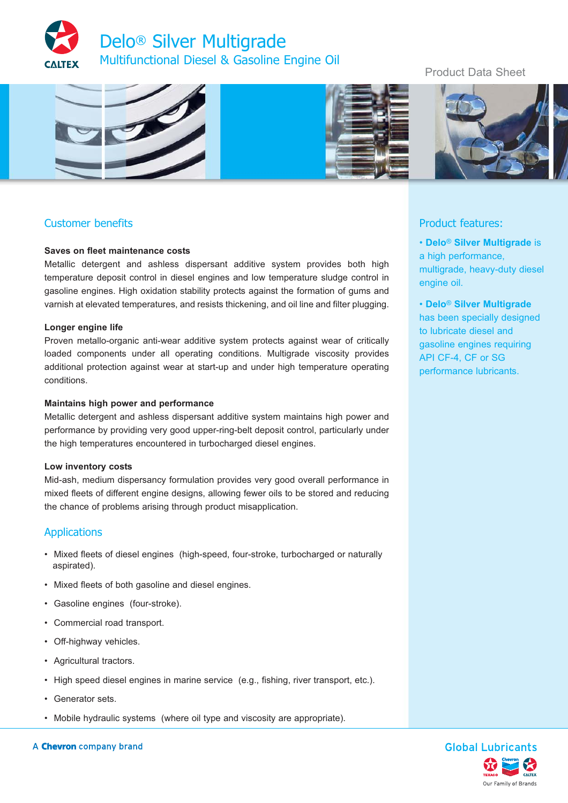



## Customer benefits

### **Saves on fleet maintenance costs**

Metallic detergent and ashless dispersant additive system provides both high temperature deposit control in diesel engines and low temperature sludge control in gasoline engines. High oxidation stability protects against the formation of gums and varnish at elevated temperatures, and resists thickening, and oil line and filter plugging.

#### **Longer engine life**

Proven metallo-organic anti-wear additive system protects against wear of critically loaded components under all operating conditions. Multigrade viscosity provides additional protection against wear at start-up and under high temperature operating conditions.

#### **Maintains high power and performance**

Metallic detergent and ashless dispersant additive system maintains high power and performance by providing very good upper-ring-belt deposit control, particularly under the high temperatures encountered in turbocharged diesel engines.

#### **Low inventory costs**

Mid-ash, medium dispersancy formulation provides very good overall performance in mixed fleets of different engine designs, allowing fewer oils to be stored and reducing the chance of problems arising through product misapplication.

#### **Applications**

- Mixed fleets of diesel engines (high-speed, four-stroke, turbocharged or naturally aspirated).
- Mixed fleets of both gasoline and diesel engines.
- Gasoline engines (four-stroke).
- Commercial road transport.
- Off-highway vehicles.
- Agricultural tractors.
- High speed diesel engines in marine service (e.g., fishing, river transport, etc.).
- Generator sets.
- Mobile hydraulic systems (where oil type and viscosity are appropriate).



Product Data Sheet

### Product features:

- **Delo**® **Silver Multigrade** is a high performance, multigrade, heavy-duty diesel engine oil.
- **Delo**® **Silver Multigrade** has been specially designed to lubricate diesel and gasoline engines requiring API CF-4, CF or SG performance lubricants.